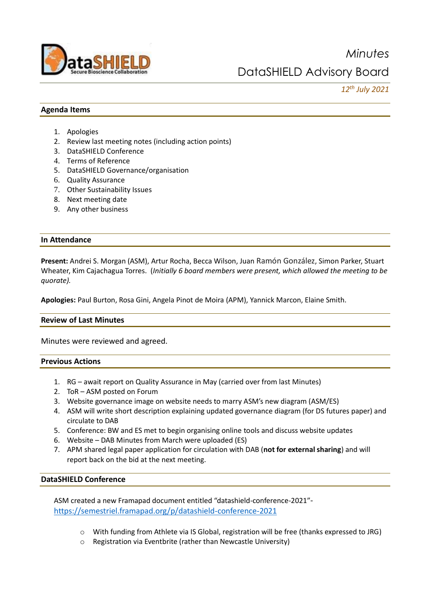

# *12th July 2021*

### **Agenda Items**

- 1. Apologies
- 2. Review last meeting notes (including action points)
- 3. DataSHIELD Conference
- 4. Terms of Reference
- 5. DataSHIELD Governance/organisation
- 6. Quality Assurance
- 7. Other Sustainability Issues
- 8. Next meeting date
- 9. Any other business

### **In Attendance**

**Present:** Andrei S. Morgan (ASM), Artur Rocha, Becca Wilson, Juan Ramón González, Simon Parker, Stuart Wheater, Kim Cajachagua Torres. (*Initially 6 board members were present, which allowed the meeting to be quorate).*

**Apologies:** Paul Burton, Rosa Gini, Angela Pinot de Moira (APM), Yannick Marcon, Elaine Smith.

### **Review of Last Minutes**

Minutes were reviewed and agreed.

### **Previous Actions**

- 1. RG await report on Quality Assurance in May (carried over from last Minutes)
- 2. ToR ASM posted on Forum
- 3. Website governance image on website needs to marry ASM's new diagram (ASM/ES)
- 4. ASM will write short description explaining updated governance diagram (for DS futures paper) and circulate to DAB
- 5. Conference: BW and ES met to begin organising online tools and discuss website updates
- 6. Website DAB Minutes from March were uploaded (ES)
- 7. APM shared legal paper application for circulation with DAB (**not for external sharing**) and will report back on the bid at the next meeting.

### **DataSHIELD Conference**

ASM created a new Framapad document entitled "datashield-conference-2021" <https://semestriel.framapad.org/p/datashield-conference-2021>

- o With funding from Athlete via IS Global, registration will be free (thanks expressed to JRG)
- o Registration via Eventbrite (rather than Newcastle University)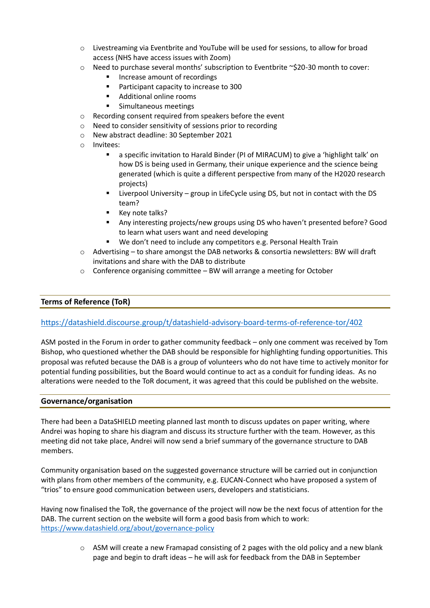- $\circ$  Livestreaming via Eventbrite and YouTube will be used for sessions, to allow for broad access (NHS have access issues with Zoom)
- o Need to purchase several months' subscription to Eventbrite ~\$20-30 month to cover:
	- Increase amount of recordings
	- Participant capacity to increase to 300
	- Additional online rooms
	- Simultaneous meetings
- o Recording consent required from speakers before the event
- o Need to consider sensitivity of sessions prior to recording
- o New abstract deadline: 30 September 2021
- o Invitees:
	- a specific invitation to Harald Binder (PI of MIRACUM) to give a 'highlight talk' on how DS is being used in Germany, their unique experience and the science being generated (which is quite a different perspective from many of the H2020 research projects)
	- Liverpool University group in LifeCycle using DS, but not in contact with the DS team?
	- Key note talks?
	- Any interesting projects/new groups using DS who haven't presented before? Good to learn what users want and need developing
	- We don't need to include any competitors e.g. Personal Health Train
- o Advertising to share amongst the DAB networks & consortia newsletters: BW will draft invitations and share with the DAB to distribute
- o Conference organising committee BW will arrange a meeting for October

## **Terms of Reference (ToR)**

### <https://datashield.discourse.group/t/datashield-advisory-board-terms-of-reference-tor/402>

ASM posted in the Forum in order to gather community feedback – only one comment was received by Tom Bishop, who questioned whether the DAB should be responsible for highlighting funding opportunities. This proposal was refuted because the DAB is a group of volunteers who do not have time to actively monitor for potential funding possibilities, but the Board would continue to act as a conduit for funding ideas. As no alterations were needed to the ToR document, it was agreed that this could be published on the website.

### **Governance/organisation**

There had been a DataSHIELD meeting planned last month to discuss updates on paper writing, where Andrei was hoping to share his diagram and discuss its structure further with the team. However, as this meeting did not take place, Andrei will now send a brief summary of the governance structure to DAB members.

Community organisation based on the suggested governance structure will be carried out in conjunction with plans from other members of the community, e.g. EUCAN-Connect who have proposed a system of "trios" to ensure good communication between users, developers and statisticians.

Having now finalised the ToR, the governance of the project will now be the next focus of attention for the DAB. The current section on the website will form a good basis from which to work: <https://www.datashield.org/about/governance-policy>

> $\circ$  ASM will create a new Framapad consisting of 2 pages with the old policy and a new blank page and begin to draft ideas – he will ask for feedback from the DAB in September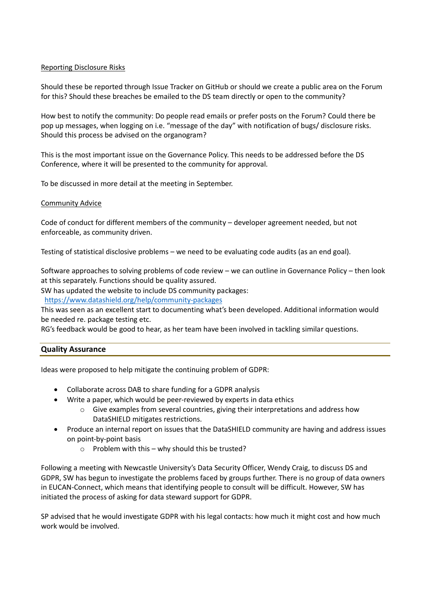### Reporting Disclosure Risks

Should these be reported through Issue Tracker on GitHub or should we create a public area on the Forum for this? Should these breaches be emailed to the DS team directly or open to the community?

How best to notify the community: Do people read emails or prefer posts on the Forum? Could there be pop up messages, when logging on i.e. "message of the day" with notification of bugs/ disclosure risks. Should this process be advised on the organogram?

This is the most important issue on the Governance Policy. This needs to be addressed before the DS Conference, where it will be presented to the community for approval.

To be discussed in more detail at the meeting in September.

### Community Advice

Code of conduct for different members of the community – developer agreement needed, but not enforceable, as community driven.

Testing of statistical disclosive problems – we need to be evaluating code audits (as an end goal).

Software approaches to solving problems of code review – we can outline in Governance Policy – then look at this separately. Functions should be quality assured.

SW has updated the website to include DS community packages:

<https://www.datashield.org/help/community-packages>

This was seen as an excellent start to documenting what's been developed. Additional information would be needed re. package testing etc.

RG's feedback would be good to hear, as her team have been involved in tackling similar questions.

### **Quality Assurance**

Ideas were proposed to help mitigate the continuing problem of GDPR:

- Collaborate across DAB to share funding for a GDPR analysis
- Write a paper, which would be peer-reviewed by experts in data ethics
	- o Give examples from several countries, giving their interpretations and address how DataSHIELD mitigates restrictions.
- Produce an internal report on issues that the DataSHIELD community are having and address issues on point-by-point basis
	- $\circ$  Problem with this why should this be trusted?

Following a meeting with Newcastle University's Data Security Officer, Wendy Craig, to discuss DS and GDPR, SW has begun to investigate the problems faced by groups further. There is no group of data owners in EUCAN-Connect, which means that identifying people to consult will be difficult. However, SW has initiated the process of asking for data steward support for GDPR.

SP advised that he would investigate GDPR with his legal contacts: how much it might cost and how much work would be involved.